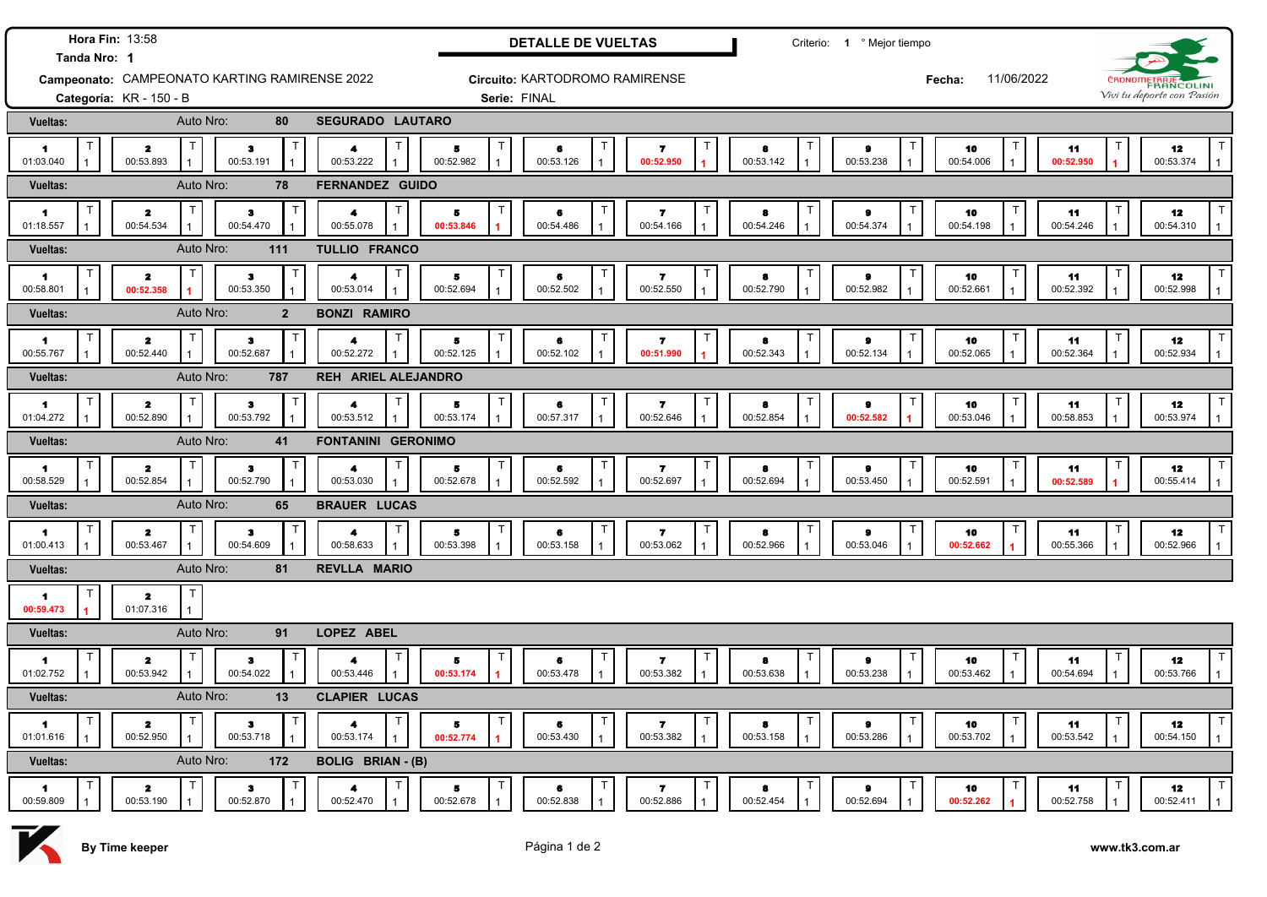|                                                               | Hora Fin: 13:58                           |                                |                                                   |                 | <b>DETALLE DE VUELTAS</b>      |                                                             |                 | Criterio: 1 º Mejor tiempo             |                      |                                 |                                                 |  |
|---------------------------------------------------------------|-------------------------------------------|--------------------------------|---------------------------------------------------|-----------------|--------------------------------|-------------------------------------------------------------|-----------------|----------------------------------------|----------------------|---------------------------------|-------------------------------------------------|--|
| Tanda Nro: 1<br>Campeonato: CAMPEONATO KARTING RAMIRENSE 2022 |                                           |                                |                                                   |                 | Circuito: KARTODROMO RAMIRENSE |                                                             |                 |                                        | 11/06/2022<br>Fecha: |                                 | CRONOMETRAJE                                    |  |
| Categoría: KR - 150 - B                                       |                                           |                                |                                                   | Serie: FINAL    |                                |                                                             |                 |                                        |                      | Vivi tu deporte con Pasión      |                                                 |  |
| <b>Vueltas:</b>                                               | Auto Nro:                                 | 80                             | SEGURADO LAUTARO                                  |                 |                                |                                                             |                 |                                        |                      |                                 |                                                 |  |
| 1<br>01:03.040                                                | $\mathbf{z}$<br>00:53.893                 | з<br>00:53.191                 | $\blacktriangleleft$<br>00:53.222                 | 5<br>00:52.982  | 6<br>00:53.126                 | Т<br>$\overline{\mathbf{r}}$<br>00:52.950<br>$\overline{1}$ | 8<br>00:53.142  | т<br>$\bullet$<br>00:53.238            | т<br>10<br>00:54.006 | 11<br>00:52.950                 | 12<br>00:53.374<br>$\mathbf{1}$                 |  |
| <b>Vueltas:</b>                                               | Auto Nro:                                 | 78                             | <b>FERNANDEZ GUIDO</b>                            |                 |                                |                                                             |                 |                                        |                      |                                 |                                                 |  |
| 1<br>01:18.557                                                | $\mathbf{z}$<br>00:54.534                 | $\bullet$<br>00:54.470         | 4<br>00:55.078                                    | 5<br>00:53.846  | 6<br>00:54.486                 | 7<br>00:54.166                                              | 8<br>00:54.246  | $\bullet$<br>00:54.374                 | 10<br>00:54.198      | 11<br>00:54.246                 | 12<br>00:54.310                                 |  |
| <b>Vueltas:</b>                                               | Auto Nro:                                 | 111                            | <b>TULLIO FRANCO</b>                              |                 |                                |                                                             |                 |                                        |                      |                                 |                                                 |  |
| $\blacktriangleleft$<br>00:58.801                             | Т<br>$\mathbf{2}$<br>00:52.358            | з<br>00:53.350                 | $\mathsf T$<br>4<br>00:53.014                     | 5<br>00:52.694  | 6<br>00:52.502                 | Т<br>$\overline{\phantom{a}}$<br>00:52.550                  | 8<br>00:52.790  | т<br>$\pmb{9}$<br>00:52.982            | 10<br>00:52.661      | $\mathbf{I}$<br>11<br>00:52.392 | 12<br>00:52.998                                 |  |
| <b>Vueltas:</b>                                               | Auto Nro:                                 | $\overline{2}$                 | <b>BONZI RAMIRO</b>                               |                 |                                |                                                             |                 |                                        |                      |                                 |                                                 |  |
| $\blacktriangleleft$<br>00:55.767                             | Т<br>$\overline{\mathbf{2}}$<br>00:52.440 | $\mathsf{T}$<br>з<br>00:52.687 | Т<br>$\blacktriangleleft$<br>00:52.272            | 5<br>00:52.125  | 6<br>00:52.102                 | $\overline{\mathbf{r}}$<br>00:51.990                        | 8<br>00:52.343  | Т<br>$\bullet$<br>00:52.134            | 10<br>00:52.065      | $\mathsf{T}$<br>11<br>00:52.364 | 12<br>00:52.934                                 |  |
| <b>Vueltas:</b>                                               | Auto Nro:                                 | 787                            | <b>REH ARIEL ALEJANDRO</b>                        |                 |                                |                                                             |                 |                                        |                      |                                 |                                                 |  |
| 1<br>01:04.272                                                | Т<br>$\mathbf{z}$<br>00:52.890            | $\bullet$<br>00:53.792         | $\mathsf T$<br>4<br>00:53.512                     | 5<br>00:53.174  | 6<br>00:57.317                 | Т<br>$\overline{ }$<br>00:52.646                            | 8<br>00:52.854  | Т<br>$\bullet$<br>00:52.582            | 10<br>00:53.046      | ा<br>11<br>00:58.853            | T<br>12<br>00:53.974<br>$\mathbf{1}$            |  |
| <b>Vueltas:</b>                                               | Auto Nro:                                 | 41                             | <b>FONTANINI GERONIMO</b>                         |                 |                                |                                                             |                 |                                        |                      |                                 |                                                 |  |
| 1<br>00:58.529                                                | $\mathsf T$<br>$\mathbf{z}$<br>00:52.854  | з<br>00:52.790                 | $\mathsf{T}$<br>$\blacktriangleleft$<br>00:53.030 | 5<br>00:52.678  | $\mathbf{I}$<br>6<br>00:52.592 | $\mathbf{z}$<br>00:52.697<br>$\mathbf{1}$                   | 8<br>00:52.694  | $\mathsf{T}$<br>$\bullet$<br>00:53.450 | 10<br>00:52.591      | 11<br>00:52.589                 | $\mathsf{T}$<br>12<br>00:55.414<br>1            |  |
| <b>Vueltas:</b>                                               | Auto Nro:                                 | 65                             | <b>BRAUER LUCAS</b>                               |                 |                                |                                                             |                 |                                        |                      |                                 |                                                 |  |
| 1<br>01:00.413                                                | $\mathbf{z}$<br>00:53.467                 | $\bullet$<br>00:54.609         | Т<br>4<br>00:58.633                               | 5<br>00:53.398  | $\mathsf{T}$<br>6<br>00:53.158 | $\mathsf{T}$<br>7<br>00:53.062                              | 8<br>00:52.966  | т<br>$\bullet$<br>00:53.046            | т<br>10<br>00:52.662 | 11<br>00:55.366                 | T<br>12<br>00:52.966<br>$\mathbf{1}$            |  |
| Vueltas:                                                      | Auto Nro:                                 | 81                             | <b>REVLLA MARIO</b>                               |                 |                                |                                                             |                 |                                        |                      |                                 |                                                 |  |
| 1<br>00:59.473                                                | $\mathsf{T}$<br>$\mathbf{z}$<br>01:07.316 |                                |                                                   |                 |                                |                                                             |                 |                                        |                      |                                 |                                                 |  |
| <b>Vueltas:</b>                                               | Auto Nro:                                 | 91                             | LOPEZ ABEL                                        |                 |                                |                                                             |                 |                                        |                      |                                 |                                                 |  |
| 1<br>01:02.752                                                | $\mathbf{z}$<br>00:53.942                 | з<br>00:54.022                 | Τ<br>4<br>00:53.446                               | Б<br>00:53.174  | $\mathsf{T}$<br>6<br>00:53.478 | T<br>7<br>00:53.382                                         | 8<br>00:53.638  | $\mathsf{T}$<br>$\bullet$<br>00:53.238 | 10<br>00:53.462      | ा<br>11<br>00:54.694            | $\mathsf{T}$<br>12<br>00:53.766<br>$\mathbf{1}$ |  |
| <b>Vueltas:</b>                                               | Auto Nro:                                 | 13                             | <b>CLAPIER LUCAS</b>                              |                 |                                |                                                             |                 |                                        |                      |                                 |                                                 |  |
| $\blacksquare$<br>01:01.616                                   | $\overline{\mathbf{z}}$<br>00:52.950      | з<br>00:53.718                 | Τ<br>4<br>00:53.174                               | 5<br>00:52.774  | 6<br>00:53.430                 | Τ<br>$\mathbf{z}$<br>00:53.382                              | 8<br>00:53.158  | Т<br>$\bullet$<br>00:53.286            | 10<br>00:53.702      | 11<br>00:53.542                 | Т<br>12<br>00:54.150                            |  |
| <b>Vueltas:</b>                                               | Auto Nro:                                 | 172                            | <b>BOLIG BRIAN - (B)</b>                          |                 |                                |                                                             |                 |                                        |                      |                                 |                                                 |  |
| 1<br>00:59.809                                                | $\mathbf{z}$<br>00:53.190                 | $\bullet$<br>00:52.870         | $\blacktriangle$<br>00:52.470                     | 5.<br>00:52.678 | 6<br>00:52.838                 | 7<br>00:52.886                                              | -8<br>00:52.454 | Т<br>$\bullet$<br>00:52.694            | 10<br>00:52.262      | 11<br>00:52.758                 | т<br>12<br>00:52.411<br>$\mathbf{1}$            |  |